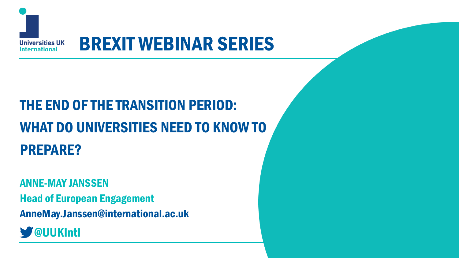

# BREXIT WEBINAR SERIES

# THE END OF THE TRANSITION PERIOD: WHAT DO UNIVERSITIES NEED TO KNOW TO PREPARE?

ANNE-MAY JANSSEN Head of European Engagement AnneMay.Janssen@international.ac.uk

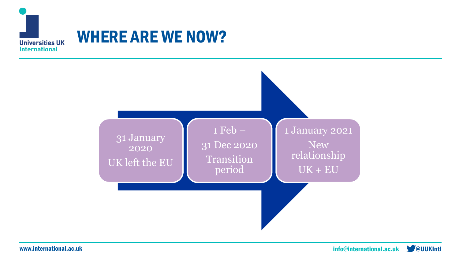

### WHERE ARE WE NOW?

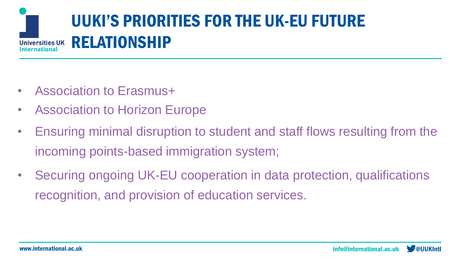

- Association to Erasmus+
- **Association to Horizon Europe**
- Ensuring minimal disruption to student and staff flows resulting from the incoming points-based immigration system;
- Securing ongoing UK-EU cooperation in data protection, qualifications recognition, and provision of education services.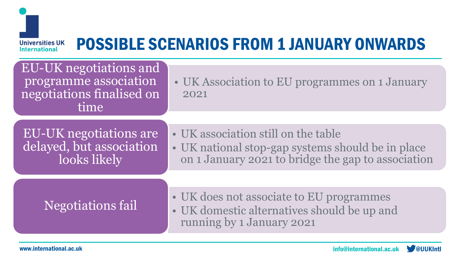

## POSSIBLE SCENARIOS FROM 1 JANUARY ONWARDS

EU-UK negotiations and programme association negotiations finalised on time

• UK Association to EU programmes on 1 January 2021

EU-UK negotiations are delayed, but association looks likely

- UK association still on the table
- UK national stop-gap systems should be in place on 1 January 2021 to bridge the gap to association

Negotiations fail

- UK does not associate to EU programmes
- UK domestic alternatives should be up and running by 1 January 2021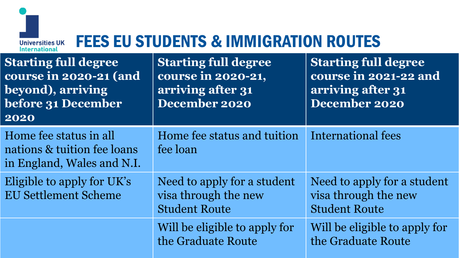

## FEES EU STUDENTS & IMMIGRATION ROUTES

| <b>Starting full degree</b><br>course in 2020-21 (and<br>beyond), arriving<br>before 31 December<br>2020 | <b>Starting full degree</b><br>course in 2020-21,<br>arriving after 31<br>December 2020 | <b>Starting full degree</b><br>course in 2021-22 and<br>arriving after 31<br>December 2020 |
|----------------------------------------------------------------------------------------------------------|-----------------------------------------------------------------------------------------|--------------------------------------------------------------------------------------------|
| Home fee status in all<br>nations & tuition fee loans<br>in England, Wales and N.I.                      | Home fee status and tuition<br>fee loan                                                 | International fees                                                                         |
| Eligible to apply for UK's<br><b>EU Settlement Scheme</b>                                                | Need to apply for a student<br>visa through the new<br><b>Student Route</b>             | Need to apply for a student<br>visa through the new<br><b>Student Route</b>                |
|                                                                                                          | Will be eligible to apply for<br>the Graduate Route                                     | Will be eligible to apply for<br>the Graduate Route                                        |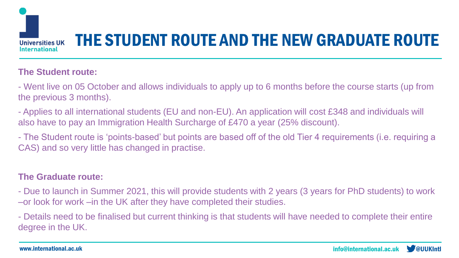

# THE STUDENT ROUTE AND THE NEW GRADUATE ROUTE

#### **The Student route:**

- Went live on 05 October and allows individuals to apply up to 6 months before the course starts (up from the previous 3 months).

- Applies to all international students (EU and non-EU). An application will cost £348 and individuals will also have to pay an Immigration Health Surcharge of £470 a year (25% discount).

- The Student route is 'points-based' but points are based off of the old Tier 4 requirements (i.e. requiring a CAS) and so very little has changed in practise.

#### **The Graduate route:**

- Due to launch in Summer 2021, this will provide students with 2 years (3 years for PhD students) to work –or look for work –in the UK after they have completed their studies.

- Details need to be finalised but current thinking is that students will have needed to complete their entire degree in the UK.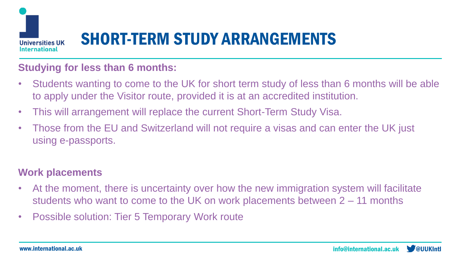

# SHORT-TERM STUDY ARRANGEMENTS

#### **Studying for less than 6 months:**

- Students wanting to come to the UK for short term study of less than 6 months will be able to apply under the Visitor route, provided it is at an accredited institution.
- This will arrangement will replace the current Short-Term Study Visa.
- Those from the EU and Switzerland will not require a visas and can enter the UK just using e-passports.

#### **Work placements**

- At the moment, there is uncertainty over how the new immigration system will facilitate students who want to come to the UK on work placements between 2 – 11 months
- Possible solution: Tier 5 Temporary Work route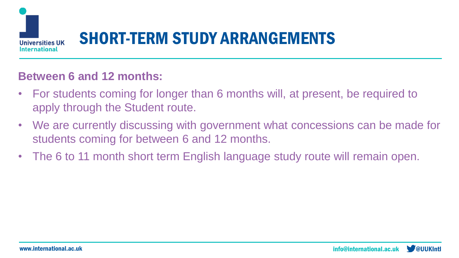

# SHORT-TERM STUDY ARRANGEMENTS

#### **Between 6 and 12 months:**

- For students coming for longer than 6 months will, at present, be required to apply through the Student route.
- We are currently discussing with government what concessions can be made for students coming for between 6 and 12 months.
- The 6 to 11 month short term English language study route will remain open.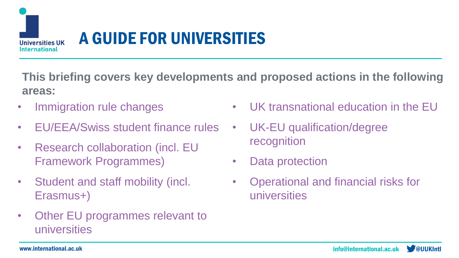

# A GUIDE FOR UNIVERSITIES

**This briefing covers key developments and proposed actions in the following areas:**

- Immigration rule changes
- **EU/EEA/Swiss student finance rules**
- Research collaboration (incl. EU Framework Programmes)
- Student and staff mobility (incl. Erasmus+)
- Other EU programmes relevant to universities
- UK transnational education in the EU
- UK-EU qualification/degree recognition
- Data protection
- Operational and financial risks for universities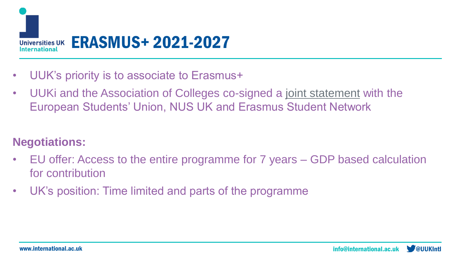

- UUK's priority is to associate to Erasmus+
- UUKi and the Association of Colleges co-signed a [joint statement](about:blank) with the European Students' Union, NUS UK and Erasmus Student Network

### **Negotiations:**

- EU offer: Access to the entire programme for 7 years GDP based calculation for contribution
- UK's position: Time limited and parts of the programme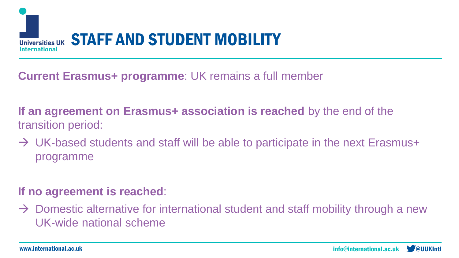

### **Current Erasmus+ programme**: UK remains a full member

### **If an agreement on Erasmus+ association is reached** by the end of the transition period:

 $\rightarrow$  UK-based students and staff will be able to participate in the next Erasmus+ programme

### **If no agreement is reached**:

 $\rightarrow$  Domestic alternative for international student and staff mobility through a new UK-wide national scheme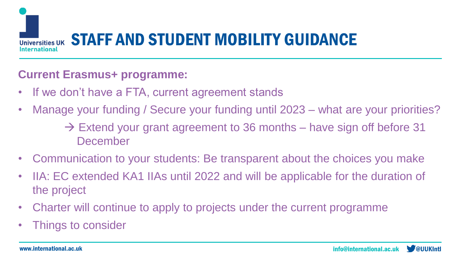

### **Current Erasmus+ programme:**

- If we don't have a FTA, current agreement stands
- Manage your funding / Secure your funding until 2023 what are your priorities?
	- $\rightarrow$  Extend your grant agreement to 36 months have sign off before 31 December
- Communication to your students: Be transparent about the choices you make
- IIA: EC extended KA1 IIAs until 2022 and will be applicable for the duration of the project
- Charter will continue to apply to projects under the current programme
- Things to consider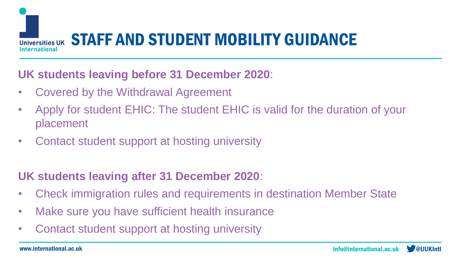

### **UK students leaving before 31 December 2020**:

- Covered by the Withdrawal Agreement
- Apply for student EHIC: The student EHIC is valid for the duration of your placement
- Contact student support at hosting university

### **UK students leaving after 31 December 2020**:

- Check immigration rules and requirements in destination Member State
- Make sure you have sufficient health insurance
- Contact student support at hosting university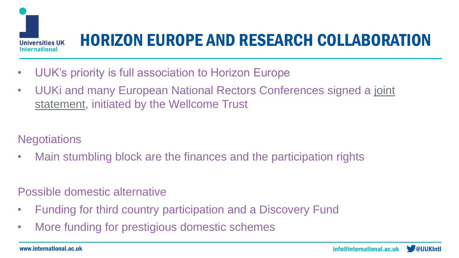

# HORIZON EUROPE AND RESEARCH COLLABORATION

- UUK's priority is full association to Horizon Europe
- [UUKi and many European National Rectors Conferences signed a joint](https://www.universitiesuk.ac.uk/International/news/Pages/UK-and-EU-research-leaders-urge-negotiators-to-compromise-on-Horizon-Europe-agreement.aspx)  statement, initiated by the Wellcome Trust

**Negotiations** 

• Main stumbling block are the finances and the participation rights

Possible domestic alternative

- Funding for third country participation and a Discovery Fund
- More funding for prestigious domestic schemes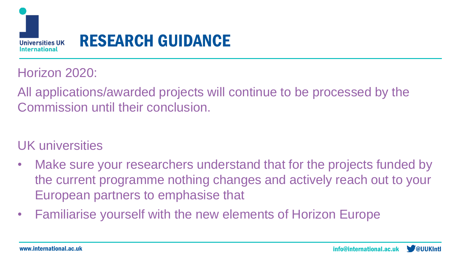

# RESEARCH GUIDANCE

### Horizon 2020:

All applications/awarded projects will continue to be processed by the Commission until their conclusion.

### UK universities

- Make sure your researchers understand that for the projects funded by the current programme nothing changes and actively reach out to your European partners to emphasise that
- Familiarise yourself with the new elements of Horizon Europe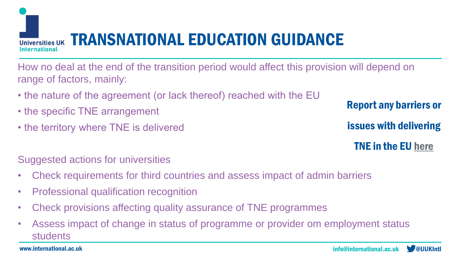

How no deal at the end of the transition period would affect this provision will depend on range of factors, mainly:

- the nature of the agreement (or lack thereof) reached with the EU
- the specific TNE arrangement
- the territory where TNE is delivered

Suggested actions for universities

- Check requirements for third countries and assess impact of admin barriers
- Professional qualification recognition
- Check provisions affecting quality assurance of TNE programmes
- Assess impact of change in status of programme or provider om employment status students

Report any barriers or

issues with delivering

TNE in the EU [here](https://forms.office.com/Pages/ResponsePage.aspx?id=dZ9stl8bYk2A_4rGJvFc7XV8DPv0FQZOowM_aIPEhTBUNjVUNVVYMEpRR0VZR0lORFhKN0RGMThVVy4u)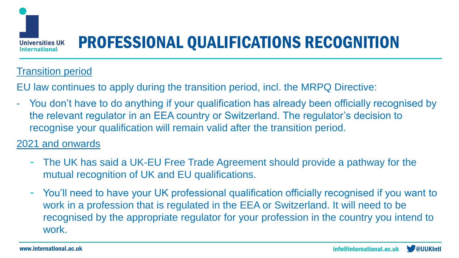

# PROFESSIONAL QUALIFICATIONS RECOGNITION

### Transition period

EU law continues to apply during the transition period, incl. the MRPQ Directive:

- You don't have to do anything if your qualification has already been officially recognised by the relevant regulator in an EEA country or Switzerland. The regulator's decision to recognise your qualification will remain valid after the transition period.

#### 2021 and onwards

- The UK has said a UK-EU Free Trade Agreement should provide a pathway for the mutual recognition of UK and EU qualifications.
- You'll need to have your UK professional qualification officially recognised if you want to work in a profession that is regulated in the EEA or Switzerland. It will need to be recognised by the appropriate regulator for your profession in the country you intend to work.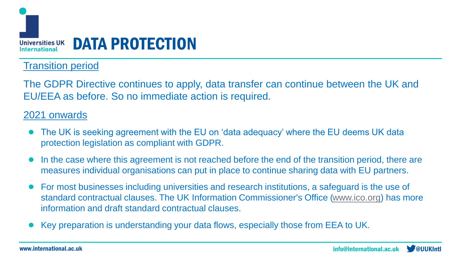

#### Transition period

The GDPR Directive continues to apply, data transfer can continue between the UK and EU/EEA as before. So no immediate action is required.

#### 2021 onwards

- The UK is seeking agreement with the EU on 'data adeguacy' where the EU deems UK data protection legislation as compliant with GDPR.
- In the case where this agreement is not reached before the end of the transition period, there are measures individual organisations can put in place to continue sharing data with EU partners.
- For most businesses including universities and research institutions, a safeguard is the use of standard contractual clauses. The UK Information Commissioner's Office [\(www.ico.org](http://www.ico.org/)) has more information and draft standard contractual clauses.
- Key preparation is understanding your data flows, especially those from EEA to UK.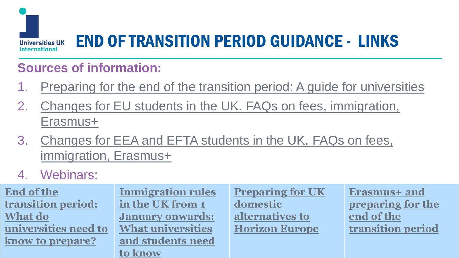

# END OF TRANSITION PERIOD GUIDANCE - LINKS

### **Sources of information:**

- 1. [Preparing for the end of the transition period: A guide for universities](https://www.universitiesuk.ac.uk/Documents/Brexit-briefing-post-transition-2020.pdf)
- 2. [Changes for EU students in the UK. FAQs on fees, immigration,](https://www.universitiesuk.ac.uk/policy-and-analysis/brexit/Documents/eu-student-faq.pdf) Erasmus+
- 3. [Changes for EEA and EFTA students in the UK. FAQs on fees,](https://www.universitiesuk.ac.uk/policy-and-analysis/brexit/Documents/eea-swiss-student-faq.pdf)  immigration, Erasmus+

### 4. Webinars:

**End of the transition period: What do [universities need to](https://www.universitiesuk.ac.uk/events/Pages/End-of-the-transition-period-What-do-universities-need-to-know-to-prepare.aspx) know to prepare?**

where  $\frac{1}{\sqrt{2}}$  is a substitutional. According to the contract of  $\frac{1}{\sqrt{2}}$  is a substitutional. **Immigration rules in the UK from 1 January onwards: What universities [and students need](https://www.universitiesuk.ac.uk/events/Pages/Immigration-rules-in-the-UK-from-1-January-onwards-What-universities-and-students-need-to-know.aspx)  to know**

**[Preparing for UK](https://www.universitiesuk.ac.uk/events/Pages/The-consequences-for-research-if-there-isn%E2%80%99t-an-agreement-on-the-future-UK-EU-relationship.aspx)  domestic alternatives to Horizon Europe**

**Erasmus+ and [preparing for the](https://www.universitiesuk.ac.uk/events/Pages/Erasmus--and-preparing-for-the-end-of-the-transition-period.aspx)  end of the transition period**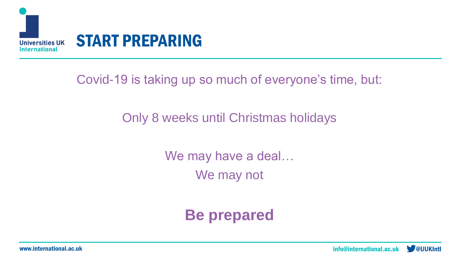

Covid-19 is taking up so much of everyone's time, but:

### Only 8 weeks until Christmas holidays

We may have a deal… We may not

**Be prepared**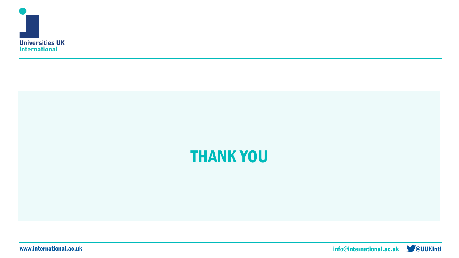



www.international.ac.uk **www.international.ac.uk** and the control of the control of the control of the control of the control of the control of the control of the control of the control of the control of the control of the